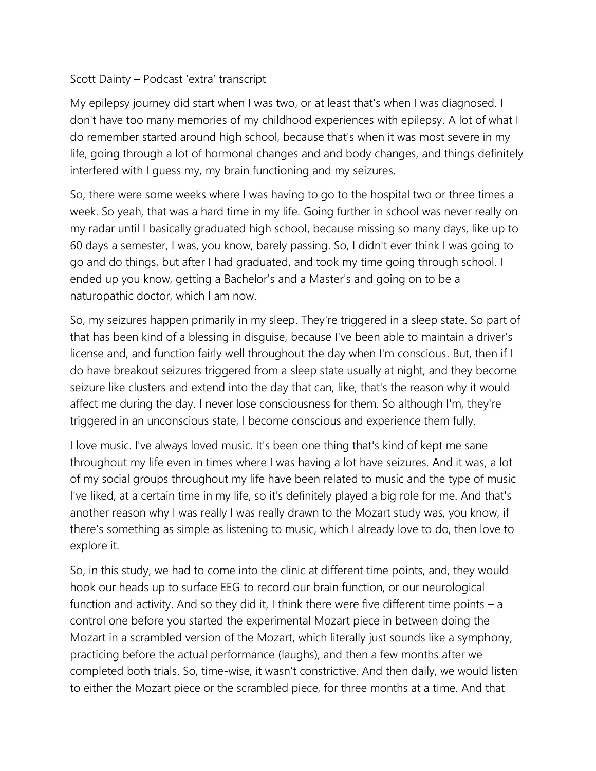## Scott Dainty – Podcast 'extra' transcript

My epilepsy journey did start when I was two, or at least that's when I was diagnosed. I don't have too many memories of my childhood experiences with epilepsy. A lot of what I do remember started around high school, because that's when it was most severe in my life, going through a lot of hormonal changes and and body changes, and things definitely interfered with I guess my, my brain functioning and my seizures.

So, there were some weeks where I was having to go to the hospital two or three times a week. So yeah, that was a hard time in my life. Going further in school was never really on my radar until I basically graduated high school, because missing so many days, like up to 60 days a semester, I was, you know, barely passing. So, I didn't ever think I was going to go and do things, but after I had graduated, and took my time going through school. I ended up you know, getting a Bachelor's and a Master's and going on to be a naturopathic doctor, which I am now.

So, my seizures happen primarily in my sleep. They're triggered in a sleep state. So part of that has been kind of a blessing in disguise, because I've been able to maintain a driver's license and, and function fairly well throughout the day when I'm conscious. But, then if I do have breakout seizures triggered from a sleep state usually at night, and they become seizure like clusters and extend into the day that can, like, that's the reason why it would affect me during the day. I never lose consciousness for them. So although I'm, they're triggered in an unconscious state, I become conscious and experience them fully.

I love music. I've always loved music. It's been one thing that's kind of kept me sane throughout my life even in times where I was having a lot have seizures. And it was, a lot of my social groups throughout my life have been related to music and the type of music I've liked, at a certain time in my life, so it's definitely played a big role for me. And that's another reason why I was really I was really drawn to the Mozart study was, you know, if there's something as simple as listening to music, which I already love to do, then love to explore it.

So, in this study, we had to come into the clinic at different time points, and, they would hook our heads up to surface EEG to record our brain function, or our neurological function and activity. And so they did it, I think there were five different time points – a control one before you started the experimental Mozart piece in between doing the Mozart in a scrambled version of the Mozart, which literally just sounds like a symphony, practicing before the actual performance (laughs), and then a few months after we completed both trials. So, time-wise, it wasn't constrictive. And then daily, we would listen to either the Mozart piece or the scrambled piece, for three months at a time. And that